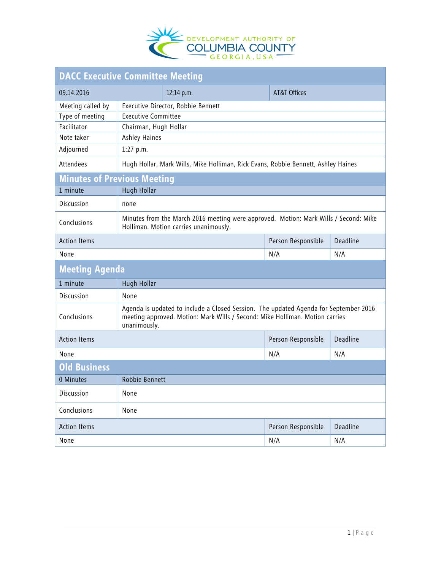

| <b>DACC Executive Committee Meeting</b> |                                                                                                                                                                                      |            |                         |          |  |  |
|-----------------------------------------|--------------------------------------------------------------------------------------------------------------------------------------------------------------------------------------|------------|-------------------------|----------|--|--|
| 09.14.2016                              |                                                                                                                                                                                      | 12:14 p.m. | <b>AT&amp;T Offices</b> |          |  |  |
| Meeting called by                       | Executive Director, Robbie Bennett                                                                                                                                                   |            |                         |          |  |  |
| Type of meeting                         | <b>Executive Committee</b>                                                                                                                                                           |            |                         |          |  |  |
| Facilitator                             | Chairman, Hugh Hollar                                                                                                                                                                |            |                         |          |  |  |
| Note taker                              | Ashley Haines                                                                                                                                                                        |            |                         |          |  |  |
| Adjourned                               | $1:27$ p.m.                                                                                                                                                                          |            |                         |          |  |  |
| Attendees                               | Hugh Hollar, Mark Wills, Mike Holliman, Rick Evans, Robbie Bennett, Ashley Haines                                                                                                    |            |                         |          |  |  |
| <b>Minutes of Previous Meeting</b>      |                                                                                                                                                                                      |            |                         |          |  |  |
| 1 minute                                | Hugh Hollar                                                                                                                                                                          |            |                         |          |  |  |
| Discussion                              | none                                                                                                                                                                                 |            |                         |          |  |  |
| Conclusions                             | Minutes from the March 2016 meeting were approved. Motion: Mark Wills / Second: Mike<br>Holliman. Motion carries unanimously.                                                        |            |                         |          |  |  |
| <b>Action Items</b>                     |                                                                                                                                                                                      |            | Person Responsible      | Deadline |  |  |
| None                                    |                                                                                                                                                                                      |            | N/A                     | N/A      |  |  |
| <b>Meeting Agenda</b>                   |                                                                                                                                                                                      |            |                         |          |  |  |
| 1 minute                                | Hugh Hollar                                                                                                                                                                          |            |                         |          |  |  |
| Discussion                              | None                                                                                                                                                                                 |            |                         |          |  |  |
| Conclusions                             | Agenda is updated to include a Closed Session. The updated Agenda for September 2016<br>meeting approved. Motion: Mark Wills / Second: Mike Holliman. Motion carries<br>unanimously. |            |                         |          |  |  |
| <b>Action Items</b>                     |                                                                                                                                                                                      |            | Person Responsible      | Deadline |  |  |
| None                                    |                                                                                                                                                                                      |            | N/A                     | N/A      |  |  |
| <b>Old Business</b>                     |                                                                                                                                                                                      |            |                         |          |  |  |
| 0 Minutes                               | Robbie Bennett                                                                                                                                                                       |            |                         |          |  |  |
| Discussion                              | None                                                                                                                                                                                 |            |                         |          |  |  |
| Conclusions                             | None                                                                                                                                                                                 |            |                         |          |  |  |
| <b>Action Items</b>                     |                                                                                                                                                                                      |            | Person Responsible      | Deadline |  |  |
| None                                    |                                                                                                                                                                                      |            | N/A                     | N/A      |  |  |